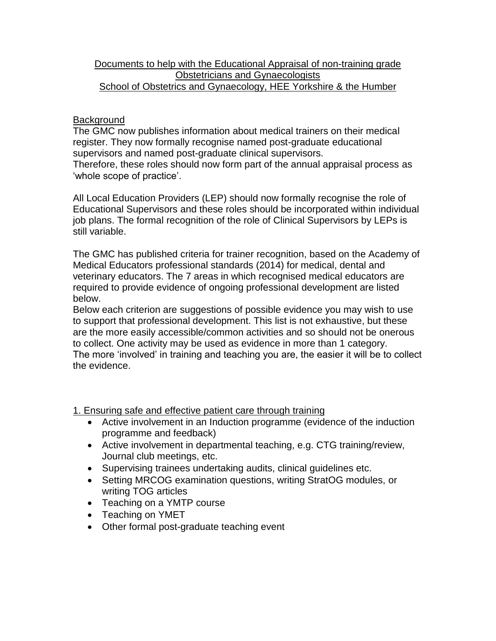### Documents to help with the Educational Appraisal of non-training grade Obstetricians and Gynaecologists School of Obstetrics and Gynaecology, HEE Yorkshire & the Humber

### **Background**

The GMC now publishes information about medical trainers on their medical register. They now formally recognise named post-graduate educational supervisors and named post-graduate clinical supervisors.

Therefore, these roles should now form part of the annual appraisal process as 'whole scope of practice'.

All Local Education Providers (LEP) should now formally recognise the role of Educational Supervisors and these roles should be incorporated within individual job plans. The formal recognition of the role of Clinical Supervisors by LEPs is still variable.

The GMC has published criteria for trainer recognition, based on the Academy of Medical Educators professional standards (2014) for medical, dental and veterinary educators. The 7 areas in which recognised medical educators are required to provide evidence of ongoing professional development are listed below.

Below each criterion are suggestions of possible evidence you may wish to use to support that professional development. This list is not exhaustive, but these are the more easily accessible/common activities and so should not be onerous to collect. One activity may be used as evidence in more than 1 category. The more 'involved' in training and teaching you are, the easier it will be to collect the evidence.

1. Ensuring safe and effective patient care through training

- Active involvement in an Induction programme (evidence of the induction programme and feedback)
- Active involvement in departmental teaching, e.g. CTG training/review, Journal club meetings, etc.
- Supervising trainees undertaking audits, clinical guidelines etc.
- Setting MRCOG examination questions, writing StratOG modules, or writing TOG articles
- Teaching on a YMTP course
- Teaching on YMET
- Other formal post-graduate teaching event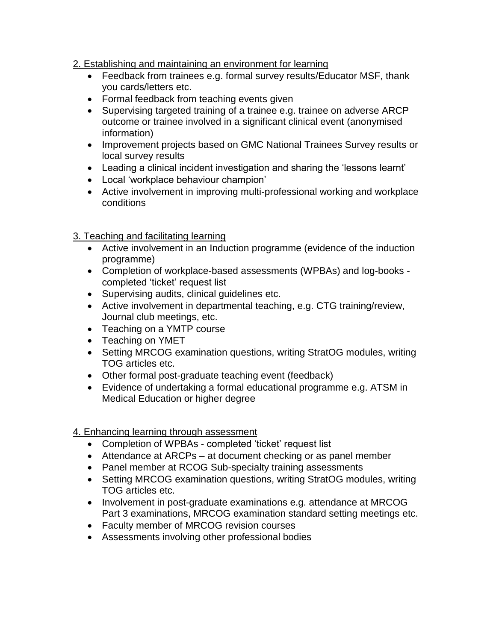## 2. Establishing and maintaining an environment for learning

- Feedback from trainees e.g. formal survey results/Educator MSF, thank you cards/letters etc.
- Formal feedback from teaching events given
- Supervising targeted training of a trainee e.g. trainee on adverse ARCP outcome or trainee involved in a significant clinical event (anonymised information)
- Improvement projects based on GMC National Trainees Survey results or local survey results
- Leading a clinical incident investigation and sharing the 'lessons learnt'
- Local 'workplace behaviour champion'
- Active involvement in improving multi-professional working and workplace conditions

## 3. Teaching and facilitating learning

- Active involvement in an Induction programme (evidence of the induction programme)
- Completion of workplace-based assessments (WPBAs) and log-books completed 'ticket' request list
- Supervising audits, clinical guidelines etc.
- Active involvement in departmental teaching, e.g. CTG training/review, Journal club meetings, etc.
- Teaching on a YMTP course
- Teaching on YMET
- Setting MRCOG examination questions, writing StratOG modules, writing TOG articles etc.
- Other formal post-graduate teaching event (feedback)
- Evidence of undertaking a formal educational programme e.g. ATSM in Medical Education or higher degree

## 4. Enhancing learning through assessment

- Completion of WPBAs completed 'ticket' request list
- Attendance at ARCPs at document checking or as panel member
- Panel member at RCOG Sub-specialty training assessments
- Setting MRCOG examination questions, writing StratOG modules, writing TOG articles etc.
- Involvement in post-graduate examinations e.g. attendance at MRCOG Part 3 examinations, MRCOG examination standard setting meetings etc.
- Faculty member of MRCOG revision courses
- Assessments involving other professional bodies